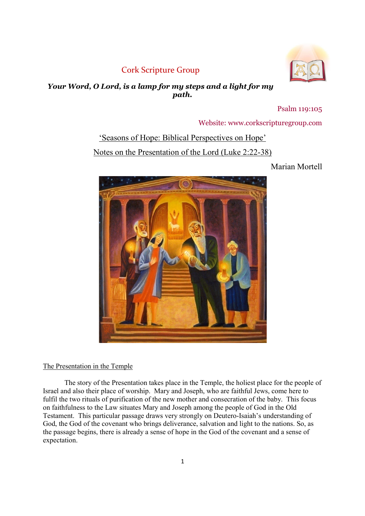# Cork Scripture Group



# Your Word, O Lord, is a lamp for my steps and a light for my path.

Psalm 119:105

Website: www.corkscripturegroup.com

# 'Seasons of Hope: Biblical Perspectives on Hope' Notes on the Presentation of the Lord (Luke 2:22-38)

Marian Mortell



# The Presentation in the Temple

The story of the Presentation takes place in the Temple, the holiest place for the people of Israel and also their place of worship. Mary and Joseph, who are faithful Jews, come here to fulfil the two rituals of purification of the new mother and consecration of the baby. This focus on faithfulness to the Law situates Mary and Joseph among the people of God in the Old Testament. This particular passage draws very strongly on Deutero-Isaiah's understanding of God, the God of the covenant who brings deliverance, salvation and light to the nations. So, as the passage begins, there is already a sense of hope in the God of the covenant and a sense of expectation.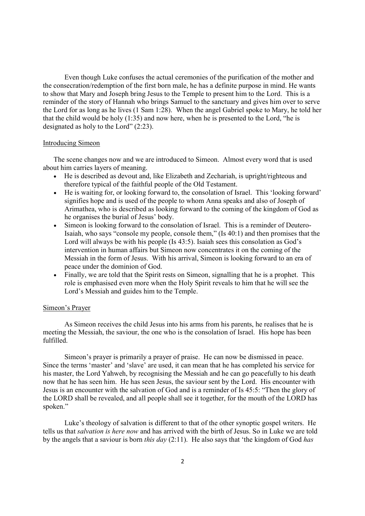Even though Luke confuses the actual ceremonies of the purification of the mother and the consecration/redemption of the first born male, he has a definite purpose in mind. He wants to show that Mary and Joseph bring Jesus to the Temple to present him to the Lord. This is a reminder of the story of Hannah who brings Samuel to the sanctuary and gives him over to serve the Lord for as long as he lives (1 Sam 1:28). When the angel Gabriel spoke to Mary, he told her that the child would be holy (1:35) and now here, when he is presented to the Lord, "he is designated as holy to the Lord" (2:23).

#### Introducing Simeon

The scene changes now and we are introduced to Simeon. Almost every word that is used about him carries layers of meaning.

- He is described as devout and, like Elizabeth and Zechariah, is upright/righteous and therefore typical of the faithful people of the Old Testament.
- He is waiting for, or looking forward to, the consolation of Israel. This 'looking forward' signifies hope and is used of the people to whom Anna speaks and also of Joseph of Arimathea, who is described as looking forward to the coming of the kingdom of God as he organises the burial of Jesus' body.
- Simeon is looking forward to the consolation of Israel. This is a reminder of Deutero-Isaiah, who says "console my people, console them," (Is 40:1) and then promises that the Lord will always be with his people (Is 43:5). Isaiah sees this consolation as God's intervention in human affairs but Simeon now concentrates it on the coming of the Messiah in the form of Jesus. With his arrival, Simeon is looking forward to an era of peace under the dominion of God.
- Finally, we are told that the Spirit rests on Simeon, signalling that he is a prophet. This role is emphasised even more when the Holy Spirit reveals to him that he will see the Lord's Messiah and guides him to the Temple.

### Simeon's Prayer

As Simeon receives the child Jesus into his arms from his parents, he realises that he is meeting the Messiah, the saviour, the one who is the consolation of Israel. His hope has been fulfilled.

Simeon's prayer is primarily a prayer of praise. He can now be dismissed in peace. Since the terms 'master' and 'slave' are used, it can mean that he has completed his service for his master, the Lord Yahweh, by recognising the Messiah and he can go peacefully to his death now that he has seen him. He has seen Jesus, the saviour sent by the Lord. His encounter with Jesus is an encounter with the salvation of God and is a reminder of Is 45:5: "Then the glory of the LORD shall be revealed, and all people shall see it together, for the mouth of the LORD has spoken."

Luke's theology of salvation is different to that of the other synoptic gospel writers. He tells us that salvation is here now and has arrived with the birth of Jesus. So in Luke we are told by the angels that a saviour is born this day  $(2.11)$ . He also says that 'the kingdom of God has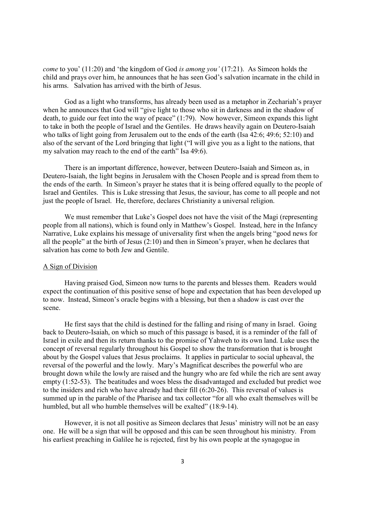come to you' (11:20) and 'the kingdom of God is among you' (17:21). As Simeon holds the child and prays over him, he announces that he has seen God's salvation incarnate in the child in his arms. Salvation has arrived with the birth of Jesus.

God as a light who transforms, has already been used as a metaphor in Zechariah's prayer when he announces that God will "give light to those who sit in darkness and in the shadow of death, to guide our feet into the way of peace" (1:79). Now however, Simeon expands this light to take in both the people of Israel and the Gentiles. He draws heavily again on Deutero-Isaiah who talks of light going from Jerusalem out to the ends of the earth (Isa 42:6; 49:6; 52:10) and also of the servant of the Lord bringing that light ("I will give you as a light to the nations, that my salvation may reach to the end of the earth" Isa 49:6).

There is an important difference, however, between Deutero-Isaiah and Simeon as, in Deutero-Isaiah, the light begins in Jerusalem with the Chosen People and is spread from them to the ends of the earth. In Simeon's prayer he states that it is being offered equally to the people of Israel and Gentiles. This is Luke stressing that Jesus, the saviour, has come to all people and not just the people of Israel. He, therefore, declares Christianity a universal religion.

We must remember that Luke's Gospel does not have the visit of the Magi (representing people from all nations), which is found only in Matthew's Gospel. Instead, here in the Infancy Narrative, Luke explains his message of universality first when the angels bring "good news for all the people" at the birth of Jesus (2:10) and then in Simeon's prayer, when he declares that salvation has come to both Jew and Gentile.

#### A Sign of Division

Having praised God, Simeon now turns to the parents and blesses them. Readers would expect the continuation of this positive sense of hope and expectation that has been developed up to now. Instead, Simeon's oracle begins with a blessing, but then a shadow is cast over the scene.

He first says that the child is destined for the falling and rising of many in Israel. Going back to Deutero-Isaiah, on which so much of this passage is based, it is a reminder of the fall of Israel in exile and then its return thanks to the promise of Yahweh to its own land. Luke uses the concept of reversal regularly throughout his Gospel to show the transformation that is brought about by the Gospel values that Jesus proclaims. It applies in particular to social upheaval, the reversal of the powerful and the lowly. Mary's Magnificat describes the powerful who are brought down while the lowly are raised and the hungry who are fed while the rich are sent away empty (1:52-53). The beatitudes and woes bless the disadvantaged and excluded but predict woe to the insiders and rich who have already had their fill (6:20-26). This reversal of values is summed up in the parable of the Pharisee and tax collector "for all who exalt themselves will be humbled, but all who humble themselves will be exalted" (18:9-14).

However, it is not all positive as Simeon declares that Jesus' ministry will not be an easy one. He will be a sign that will be opposed and this can be seen throughout his ministry. From his earliest preaching in Galilee he is rejected, first by his own people at the synagogue in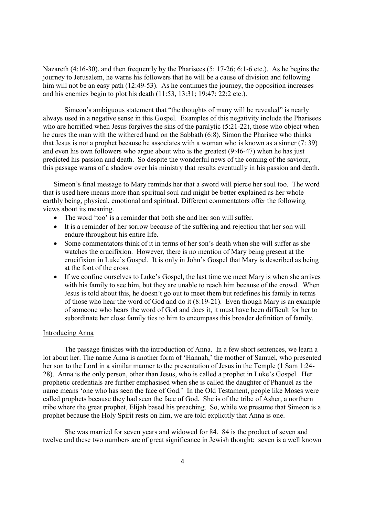Nazareth (4:16-30), and then frequently by the Pharisees (5: 17-26; 6:1-6 etc.). As he begins the journey to Jerusalem, he warns his followers that he will be a cause of division and following him will not be an easy path (12:49-53). As he continues the journey, the opposition increases and his enemies begin to plot his death (11:53, 13:31; 19:47; 22:2 etc.).

Simeon's ambiguous statement that "the thoughts of many will be revealed" is nearly always used in a negative sense in this Gospel. Examples of this negativity include the Pharisees who are horrified when Jesus forgives the sins of the paralytic (5:21-22), those who object when he cures the man with the withered hand on the Sabbath (6:8), Simon the Pharisee who thinks that Jesus is not a prophet because he associates with a woman who is known as a sinner (7: 39) and even his own followers who argue about who is the greatest (9:46-47) when he has just predicted his passion and death. So despite the wonderful news of the coming of the saviour, this passage warns of a shadow over his ministry that results eventually in his passion and death.

Simeon's final message to Mary reminds her that a sword will pierce her soul too. The word that is used here means more than spiritual soul and might be better explained as her whole earthly being, physical, emotional and spiritual. Different commentators offer the following views about its meaning.

- The word 'too' is a reminder that both she and her son will suffer.
- It is a reminder of her sorrow because of the suffering and rejection that her son will endure throughout his entire life.
- Some commentators think of it in terms of her son's death when she will suffer as she watches the crucifixion. However, there is no mention of Mary being present at the crucifixion in Luke's Gospel. It is only in John's Gospel that Mary is described as being at the foot of the cross.
- If we confine ourselves to Luke's Gospel, the last time we meet Mary is when she arrives with his family to see him, but they are unable to reach him because of the crowd. When Jesus is told about this, he doesn't go out to meet them but redefines his family in terms of those who hear the word of God and do it (8:19-21). Even though Mary is an example of someone who hears the word of God and does it, it must have been difficult for her to subordinate her close family ties to him to encompass this broader definition of family.

# Introducing Anna

The passage finishes with the introduction of Anna. In a few short sentences, we learn a lot about her. The name Anna is another form of 'Hannah,' the mother of Samuel, who presented her son to the Lord in a similar manner to the presentation of Jesus in the Temple (1 Sam 1:24- 28). Anna is the only person, other than Jesus, who is called a prophet in Luke's Gospel. Her prophetic credentials are further emphasised when she is called the daughter of Phanuel as the name means 'one who has seen the face of God.' In the Old Testament, people like Moses were called prophets because they had seen the face of God. She is of the tribe of Asher, a northern tribe where the great prophet, Elijah based his preaching. So, while we presume that Simeon is a prophet because the Holy Spirit rests on him, we are told explicitly that Anna is one.

She was married for seven years and widowed for 84. 84 is the product of seven and twelve and these two numbers are of great significance in Jewish thought: seven is a well known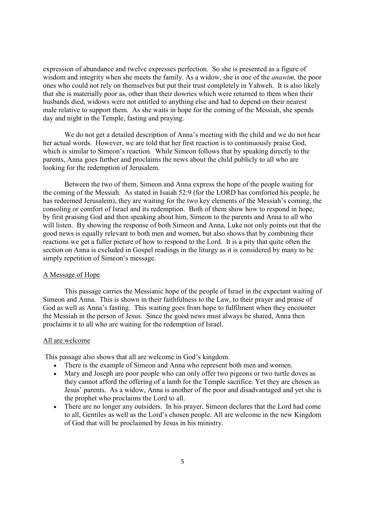expression of abundance and twelve expresses perfection. So she is presented as a figure of wisdom and integrity when she meets the family. As a widow, she is one of the anawim, the poor ones who could not rely on themselves but put their trust completely in Yahweh. It is also likely that she is materially poor as, other than their dowries which were returned to them when their husbands died, widows were not entitled to anything else and had to depend on their nearest male relative to support them. As she waits in hope for the coming of the Messiah, she spends day and night in the Temple, fasting and praying.

We do not get a detailed description of Anna's meeting with the child and we do not hear her actual words. However, we are told that her first reaction is to continuously praise God, which is similar to Simeon's reaction. While Simeon follows that by speaking directly to the parents, Anna goes further and proclaims the news about the child publicly to all who are looking for the redemption of Jerusalem.

Between the two of them, Simeon and Anna express the hope of the people waiting for the coming of the Messiah. As stated in Isaiah 52:9 (for the LORD has comforted his people, he has redeemed Jerusalem), they are waiting for the two key elements of the Messiah's coming, the consoling or comfort of Israel and its redemption. Both of them show how to respond in hope, by first praising God and then speaking about him, Simeon to the parents and Anna to all who will listen. By showing the response of both Simeon and Anna, Luke not only points out that the good news is equally relevant to both men and women, but also shows that by combining their reactions we get a fuller picture of how to respond to the Lord. It is a pity that quite often the section on Anna is excluded in Gospel readings in the liturgy as it is considered by many to be simply repetition of Simeon's message.

# A Message of Hope

This passage carries the Messianic hope of the people of Israel in the expectant waiting of Simeon and Anna. This is shown in their faithfulness to the Law, to their prayer and praise of God as well as Anna's fasting. This waiting goes from hope to fulfilment when they encounter the Messiah in the person of Jesus. Since the good news must always be shared, Anna then proclaims it to all who are waiting for the redemption of Israel.

#### All are welcome

This passage also shows that all are welcome in God's kingdom.

- There is the example of Simeon and Anna who represent both men and women.
- Mary and Joseph are poor people who can only offer two pigeons or two turtle doves as they cannot afford the offering of a lamb for the Temple sacrifice. Yet they are chosen as Jesus' parents. As a widow, Anna is another of the poor and disadvantaged and yet she is the prophet who proclaims the Lord to all.
- There are no longer any outsiders. In his prayer, Simeon declares that the Lord had come to all, Gentiles as well as the Lord's chosen people. All are welcome in the new Kingdom of God that will be proclaimed by Jesus in his ministry.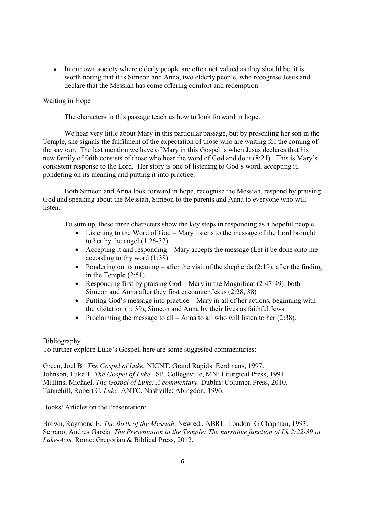• In our own society where elderly people are often not valued as they should be, it is worth noting that it is Simeon and Anna, two elderly people, who recognise Jesus and declare that the Messiah has come offering comfort and redemption.

# Waiting in Hope

The characters in this passage teach us how to look forward in hope.

We hear very little about Mary in this particular passage, but by presenting her son in the Temple, she signals the fulfilment of the expectation of those who are waiting for the coming of the saviour. The last mention we have of Mary in this Gospel is when Jesus declares that his new family of faith consists of those who hear the word of God and do it (8:21). This is Mary's consistent response to the Lord. Her story is one of listening to God's word, accepting it, pondering on its meaning and putting it into practice.

Both Simeon and Anna look forward in hope, recognise the Messiah, respond by praising God and speaking about the Messiah, Simeon to the parents and Anna to everyone who will listen.

To sum up, these three characters show the key steps in responding as a hopeful people.

- Listening to the Word of God Mary listens to the message of the Lord brought to her by the angel (1:26-37)
- Accepting it and responding Mary accepts the message (Let it be done onto me according to thy word (1:38)
- Pondering on its meaning after the visit of the shepherds  $(2:19)$ , after the finding in the Temple (2:51)
- Responding first by praising God Mary in the Magnificat (2:47-49), both Simeon and Anna after they first encounter Jesus (2:28, 38)
- Putting God's message into practice Mary in all of her actions, beginning with the visitation (1: 39), Simeon and Anna by their lives as faithful Jews
- Proclaiming the message to all Anna to all who will listen to her  $(2:38)$ .

# Bibliography

To further explore Luke's Gospel, here are some suggested commentaries:

Green, Joel B. The Gospel of Luke. NICNT. Grand Rapids: Eerdmans, 1997. Johnson, Luke T. The Gospel of Luke. SP. Collegeville, MN: Liturgical Press, 1991. Mullins, Michael. The Gospel of Luke: A commentary. Dublin: Columba Press, 2010. Tannehill, Robert C. Luke. ANTC. Nashville: Abingdon, 1996.

Books/ Articles on the Presentation:

Brown, Raymond E. The Birth of the Messiah. New ed., ABRL. London: G.Chapman, 1993. Serrano, Andres Garcia. The Presentation in the Temple: The narrative function of Lk 2:22-39 in Luke-Acts. Rome: Gregorian & Biblical Press, 2012.